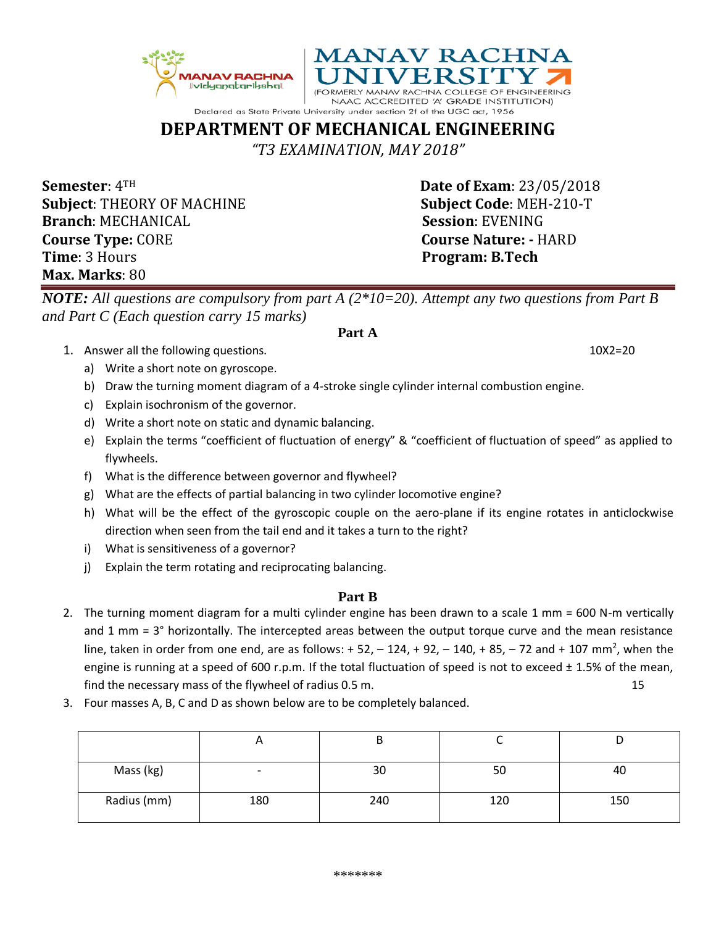



Declared as State Private University under section 2f of the UGC act, 1956 **DEPARTMENT OF MECHANICAL ENGINEERING** *"T3 EXAMINATION, MAY 2018"*

**Semester**:  $4^{TH}$  **Date of Exam**: 23/05/2018 **Subject**: THEORY OF MACHINE **Subject Code**: MEH-210-T **Branch**: MECHANICAL **Session**: EVENING **Course Type:** CORE **Course Nature: -** HARD **Time**: 3 Hours **Program: B.Tech Max. Marks**: 80

*NOTE: All questions are compulsory from part A (2\*10=20). Attempt any two questions from Part B and Part C (Each question carry 15 marks)*

## **Part A**

1. Answer all the following questions. 10X2=20

- a) Write a short note on gyroscope.
- b) Draw the turning moment diagram of a 4-stroke single cylinder internal combustion engine.
- c) Explain isochronism of the governor.
- d) Write a short note on static and dynamic balancing.
- e) Explain the terms "coefficient of fluctuation of energy" & "coefficient of fluctuation of speed" as applied to flywheels.
- f) What is the difference between governor and flywheel?
- g) What are the effects of partial balancing in two cylinder locomotive engine?
- h) What will be the effect of the gyroscopic couple on the aero-plane if its engine rotates in anticlockwise direction when seen from the tail end and it takes a turn to the right?
- i) What is sensitiveness of a governor?
- j) Explain the term rotating and reciprocating balancing.

## **Part B**

- 2. The turning moment diagram for a multi cylinder engine has been drawn to a scale 1 mm = 600 N-m vertically and 1 mm = 3° horizontally. The intercepted areas between the output torque curve and the mean resistance line, taken in order from one end, are as follows:  $+ 52, -124, +92, -140, +85, -72$  and  $+ 107$  mm<sup>2</sup>, when the engine is running at a speed of 600 r.p.m. If the total fluctuation of speed is not to exceed ± 1.5% of the mean, find the necessary mass of the flywheel of radius 0.5 m. 15
- 3. Four masses A, B, C and D as shown below are to be completely balanced.

|             | Ħ   | ь   |     |     |
|-------------|-----|-----|-----|-----|
| Mass (kg)   |     | 30  | 50  | 40  |
| Radius (mm) | 180 | 240 | 120 | 150 |